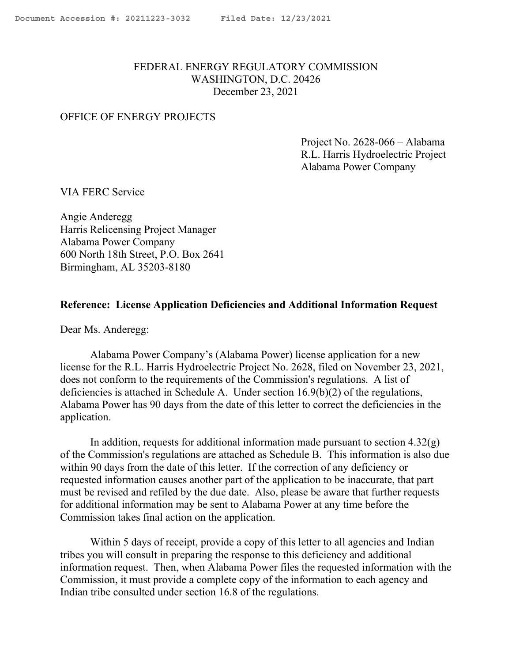# FEDERAL ENERGY REGULATORY COMMISSION WASHINGTON, D.C. 20426 December 23, 2021

### OFFICE OF ENERGY PROJECTS

Project No. 2628-066 – Alabama R.L. Harris Hydroelectric Project Alabama Power Company

VIA FERC Service

Angie Anderegg Harris Relicensing Project Manager Alabama Power Company 600 North 18th Street, P.O. Box 2641 Birmingham, AL 35203-8180

### **Reference: License Application Deficiencies and Additional Information Request**

Dear Ms. Anderegg:

Alabama Power Company's (Alabama Power) license application for a new license for the R.L. Harris Hydroelectric Project No. 2628, filed on November 23, 2021, does not conform to the requirements of the Commission's regulations. A list of deficiencies is attached in Schedule A. Under section 16.9(b)(2) of the regulations, Alabama Power has 90 days from the date of this letter to correct the deficiencies in the application.

In addition, requests for additional information made pursuant to section  $4.32(g)$ of the Commission's regulations are attached as Schedule B. This information is also due within 90 days from the date of this letter. If the correction of any deficiency or requested information causes another part of the application to be inaccurate, that part must be revised and refiled by the due date. Also, please be aware that further requests for additional information may be sent to Alabama Power at any time before the Commission takes final action on the application.

Within 5 days of receipt, provide a copy of this letter to all agencies and Indian tribes you will consult in preparing the response to this deficiency and additional information request. Then, when Alabama Power files the requested information with the Commission, it must provide a complete copy of the information to each agency and Indian tribe consulted under section 16.8 of the regulations.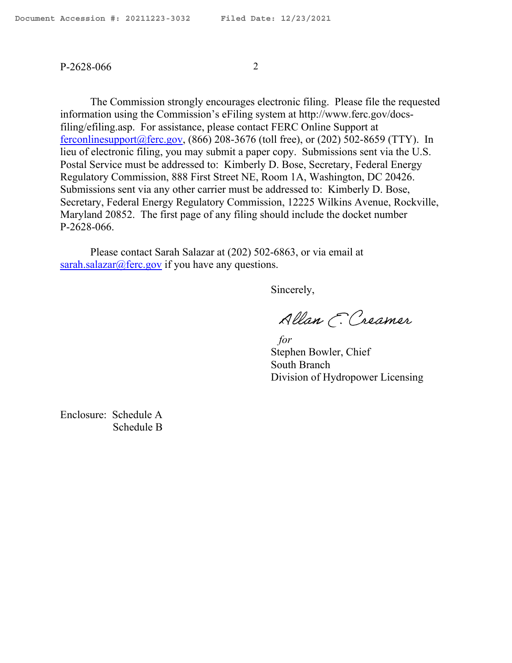### P-2628-066 2

The Commission strongly encourages electronic filing. Please file the requested information using the Commission's eFiling system at http://www.ferc.gov/docsfiling/efiling.asp. For assistance, please contact FERC Online Support at ferconlinesupport $(a)$  ferc.gov, (866) 208-3676 (toll free), or (202) 502-8659 (TTY). In lieu of electronic filing, you may submit a paper copy. Submissions sent via the U.S. Postal Service must be addressed to: Kimberly D. Bose, Secretary, Federal Energy Regulatory Commission, 888 First Street NE, Room 1A, Washington, DC 20426. Submissions sent via any other carrier must be addressed to: Kimberly D. Bose, Secretary, Federal Energy Regulatory Commission, 12225 Wilkins Avenue, Rockville, Maryland 20852. The first page of any filing should include the docket number P-2628-066.

Please contact Sarah Salazar at (202) 502-6863, or via email at [sarah.salazar@ferc.gov](mailto:sarah.salazar@ferc.gov) if you have any questions.

Sincerely,

Allan E. Creamer

 *for* Stephen Bowler, Chief South Branch Division of Hydropower Licensing

Enclosure: Schedule A Schedule B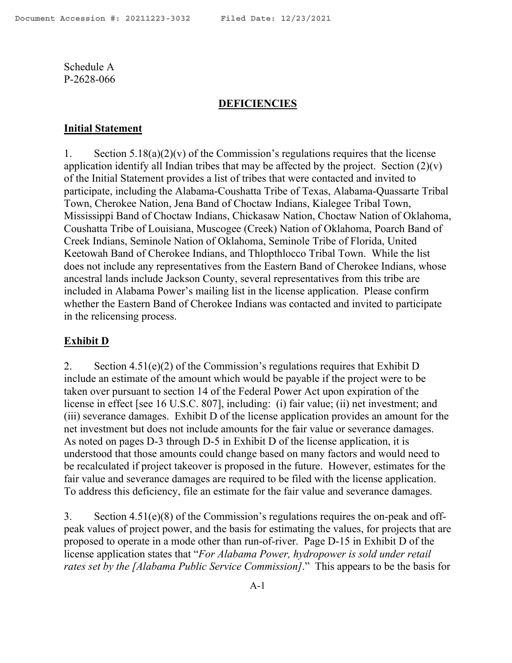### **DEFICIENCIES**

#### **Initial Statement**

1. Section  $5.18(a)(2)(v)$  of the Commission's regulations requires that the license application identify all Indian tribes that may be affected by the project. Section  $(2)(v)$ of the Initial Statement provides a list of tribes that were contacted and invited to participate, including the Alabama-Coushatta Tribe of Texas, Alabama-Quassarte Tribal Town, Cherokee Nation, Jena Band of Choctaw Indians, Kialegee Tribal Town, Mississippi Band of Choctaw Indians, Chickasaw Nation, Choctaw Nation of Oklahoma, Coushatta Tribe of Louisiana, Muscogee (Creek) Nation of Oklahoma, Poarch Band of Creek Indians, Seminole Nation of Oklahoma, Seminole Tribe of Florida, United Keetowah Band of Cherokee Indians, and Thlopthlocco Tribal Town. While the list does not include any representatives from the Eastern Band of Cherokee Indians, whose ancestral lands include Jackson County, several representatives from this tribe are included in Alabama Power's mailing list in the license application. Please confirm whether the Eastern Band of Cherokee Indians was contacted and invited to participate in the relicensing process.

### **Exhibit D**

2. Section  $4.51(e)(2)$  of the Commission's regulations requires that Exhibit D include an estimate of the amount which would be payable if the project were to be taken over pursuant to section 14 of the Federal Power Act upon expiration of the license in effect [see 16 U.S.C. 807], including: (i) fair value; (ii) net investment; and (iii) severance damages. Exhibit D of the license application provides an amount for the net investment but does not include amounts for the fair value or severance damages. As noted on pages D-3 through D-5 in Exhibit D of the license application, it is understood that those amounts could change based on many factors and would need to be recalculated if project takeover is proposed in the future. However, estimates for the fair value and severance damages are required to be filed with the license application. To address this deficiency, file an estimate for the fair value and severance damages.

3. Section 4.51(e)(8) of the Commission's regulations requires the on-peak and offpeak values of project power, and the basis for estimating the values, for projects that are proposed to operate in a mode other than run-of-river. Page D-15 in Exhibit D of the license application states that "*For Alabama Power, hydropower is sold under retail rates set by the [Alabama Public Service Commission]*." This appears to be the basis for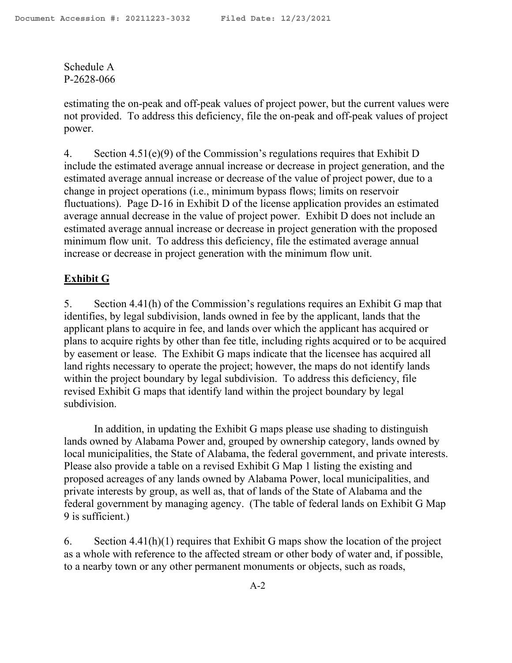estimating the on-peak and off-peak values of project power, but the current values were not provided. To address this deficiency, file the on-peak and off-peak values of project power.

4. Section 4.51(e)(9) of the Commission's regulations requires that Exhibit D include the estimated average annual increase or decrease in project generation, and the estimated average annual increase or decrease of the value of project power, due to a change in project operations (i.e., minimum bypass flows; limits on reservoir fluctuations). Page D-16 in Exhibit D of the license application provides an estimated average annual decrease in the value of project power. Exhibit D does not include an estimated average annual increase or decrease in project generation with the proposed minimum flow unit. To address this deficiency, file the estimated average annual increase or decrease in project generation with the minimum flow unit.

# **Exhibit G**

5. Section 4.41(h) of the Commission's regulations requires an Exhibit G map that identifies, by legal subdivision, lands owned in fee by the applicant, lands that the applicant plans to acquire in fee, and lands over which the applicant has acquired or plans to acquire rights by other than fee title, including rights acquired or to be acquired by easement or lease. The Exhibit G maps indicate that the licensee has acquired all land rights necessary to operate the project; however, the maps do not identify lands within the project boundary by legal subdivision. To address this deficiency, file revised Exhibit G maps that identify land within the project boundary by legal subdivision.

In addition, in updating the Exhibit G maps please use shading to distinguish lands owned by Alabama Power and, grouped by ownership category, lands owned by local municipalities, the State of Alabama, the federal government, and private interests. Please also provide a table on a revised Exhibit G Map 1 listing the existing and proposed acreages of any lands owned by Alabama Power, local municipalities, and private interests by group, as well as, that of lands of the State of Alabama and the federal government by managing agency. (The table of federal lands on Exhibit G Map 9 is sufficient.)

6. Section  $4.41(h)(1)$  requires that Exhibit G maps show the location of the project as a whole with reference to the affected stream or other body of water and, if possible, to a nearby town or any other permanent monuments or objects, such as roads,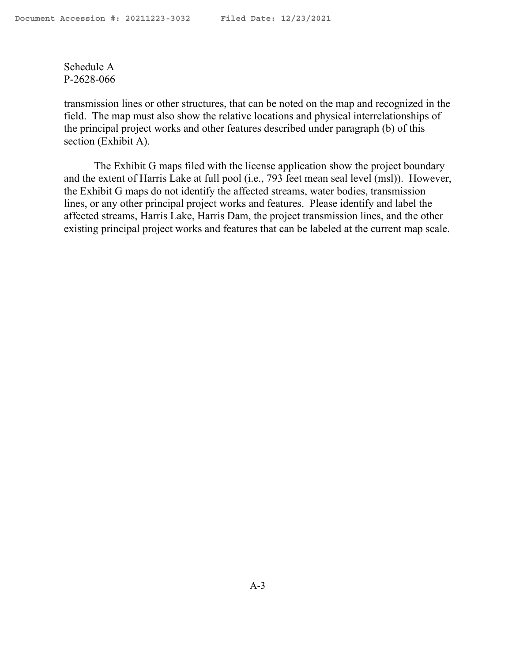transmission lines or other structures, that can be noted on the map and recognized in the field. The map must also show the relative locations and physical interrelationships of the principal project works and other features described under paragraph (b) of this section (Exhibit A).

The Exhibit G maps filed with the license application show the project boundary and the extent of Harris Lake at full pool (i.e., 793 feet mean seal level (msl)). However, the Exhibit G maps do not identify the affected streams, water bodies, transmission lines, or any other principal project works and features. Please identify and label the affected streams, Harris Lake, Harris Dam, the project transmission lines, and the other existing principal project works and features that can be labeled at the current map scale.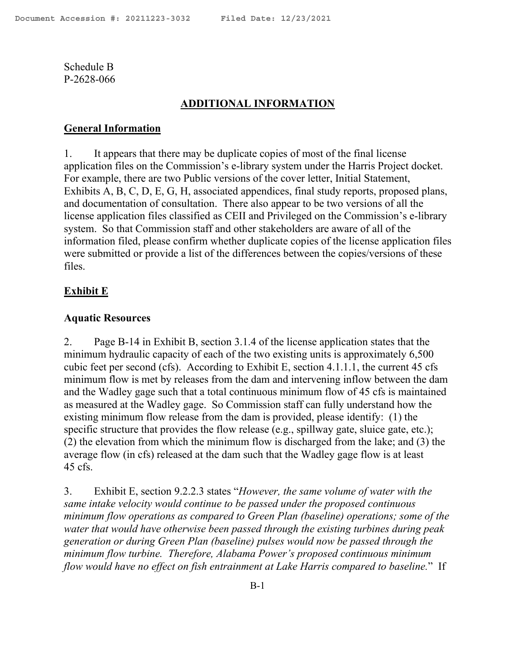## **ADDITIONAL INFORMATION**

### **General Information**

1. It appears that there may be duplicate copies of most of the final license application files on the Commission's e-library system under the Harris Project docket. For example, there are two Public versions of the cover letter, Initial Statement, Exhibits A, B, C, D, E, G, H, associated appendices, final study reports, proposed plans, and documentation of consultation. There also appear to be two versions of all the license application files classified as CEII and Privileged on the Commission's e-library system. So that Commission staff and other stakeholders are aware of all of the information filed, please confirm whether duplicate copies of the license application files were submitted or provide a list of the differences between the copies/versions of these files.

### **Exhibit E**

### **Aquatic Resources**

2. Page B-14 in Exhibit B, section 3.1.4 of the license application states that the minimum hydraulic capacity of each of the two existing units is approximately 6,500 cubic feet per second (cfs). According to Exhibit E, section 4.1.1.1, the current 45 cfs minimum flow is met by releases from the dam and intervening inflow between the dam and the Wadley gage such that a total continuous minimum flow of 45 cfs is maintained as measured at the Wadley gage. So Commission staff can fully understand how the existing minimum flow release from the dam is provided, please identify: (1) the specific structure that provides the flow release (e.g., spillway gate, sluice gate, etc.); (2) the elevation from which the minimum flow is discharged from the lake; and (3) the average flow (in cfs) released at the dam such that the Wadley gage flow is at least 45 cfs.

3. Exhibit E, section 9.2.2.3 states "*However, the same volume of water with the same intake velocity would continue to be passed under the proposed continuous minimum flow operations as compared to Green Plan (baseline) operations; some of the water that would have otherwise been passed through the existing turbines during peak generation or during Green Plan (baseline) pulses would now be passed through the minimum flow turbine. Therefore, Alabama Power's proposed continuous minimum flow would have no effect on fish entrainment at Lake Harris compared to baseline.*" If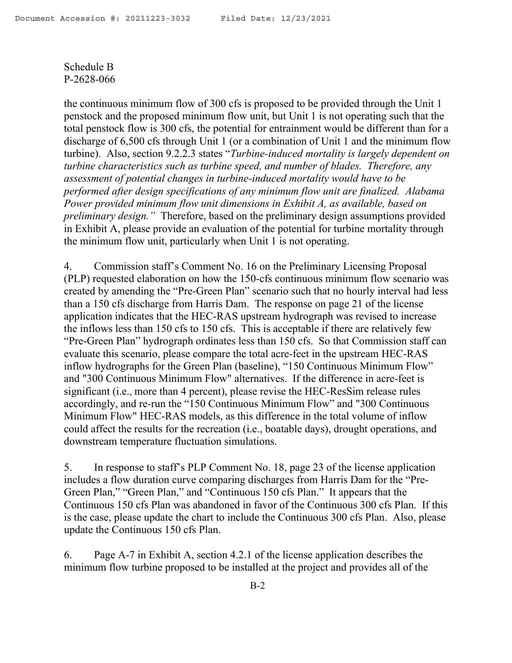the continuous minimum flow of 300 cfs is proposed to be provided through the Unit 1 penstock and the proposed minimum flow unit, but Unit 1 is not operating such that the total penstock flow is 300 cfs, the potential for entrainment would be different than for a discharge of 6,500 cfs through Unit 1 (or a combination of Unit 1 and the minimum flow turbine). Also, section 9.2.2.3 states "*Turbine-induced mortality is largely dependent on turbine characteristics such as turbine speed, and number of blades. Therefore, any assessment of potential changes in turbine-induced mortality would have to be performed after design specifications of any minimum flow unit are finalized. Alabama Power provided minimum flow unit dimensions in Exhibit A, as available, based on preliminary design."* Therefore, based on the preliminary design assumptions provided in Exhibit A, please provide an evaluation of the potential for turbine mortality through the minimum flow unit, particularly when Unit 1 is not operating.

4. Commission staff's Comment No. 16 on the Preliminary Licensing Proposal (PLP) requested elaboration on how the 150-cfs continuous minimum flow scenario was created by amending the "Pre-Green Plan" scenario such that no hourly interval had less than a 150 cfs discharge from Harris Dam. The response on page 21 of the license application indicates that the HEC-RAS upstream hydrograph was revised to increase the inflows less than 150 cfs to 150 cfs. This is acceptable if there are relatively few "Pre-Green Plan" hydrograph ordinates less than 150 cfs. So that Commission staff can evaluate this scenario, please compare the total acre-feet in the upstream HEC-RAS inflow hydrographs for the Green Plan (baseline), "150 Continuous Minimum Flow" and "300 Continuous Minimum Flow" alternatives. If the difference in acre-feet is significant (i.e., more than 4 percent), please revise the HEC-ResSim release rules accordingly, and re-run the "150 Continuous Minimum Flow" and "300 Continuous Minimum Flow" HEC-RAS models, as this difference in the total volume of inflow could affect the results for the recreation (i.e., boatable days), drought operations, and downstream temperature fluctuation simulations.

5. In response to staff's PLP Comment No. 18, page 23 of the license application includes a flow duration curve comparing discharges from Harris Dam for the "Pre-Green Plan," "Green Plan," and "Continuous 150 cfs Plan." It appears that the Continuous 150 cfs Plan was abandoned in favor of the Continuous 300 cfs Plan. If this is the case, please update the chart to include the Continuous 300 cfs Plan. Also, please update the Continuous 150 cfs Plan.

6. Page A-7 in Exhibit A, section 4.2.1 of the license application describes the minimum flow turbine proposed to be installed at the project and provides all of the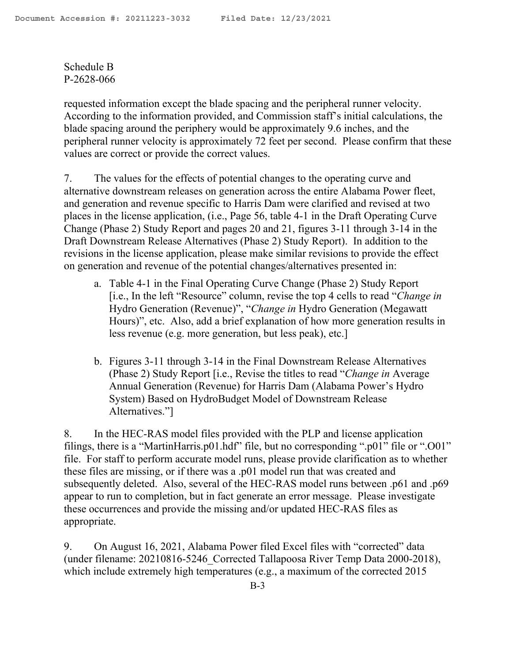requested information except the blade spacing and the peripheral runner velocity. According to the information provided, and Commission staff's initial calculations, the blade spacing around the periphery would be approximately 9.6 inches, and the peripheral runner velocity is approximately 72 feet per second. Please confirm that these values are correct or provide the correct values.

7. The values for the effects of potential changes to the operating curve and alternative downstream releases on generation across the entire Alabama Power fleet, and generation and revenue specific to Harris Dam were clarified and revised at two places in the license application, (i.e., Page 56, table 4-1 in the Draft Operating Curve Change (Phase 2) Study Report and pages 20 and 21, figures 3-11 through 3-14 in the Draft Downstream Release Alternatives (Phase 2) Study Report). In addition to the revisions in the license application, please make similar revisions to provide the effect on generation and revenue of the potential changes/alternatives presented in:

- a. Table 4-1 in the Final Operating Curve Change (Phase 2) Study Report [i.e., In the left "Resource" column, revise the top 4 cells to read "*Change in* Hydro Generation (Revenue)", "*Change in* Hydro Generation (Megawatt Hours)", etc. Also, add a brief explanation of how more generation results in less revenue (e.g. more generation, but less peak), etc.]
- b. Figures 3-11 through 3-14 in the Final Downstream Release Alternatives (Phase 2) Study Report [i.e., Revise the titles to read "*Change in* Average Annual Generation (Revenue) for Harris Dam (Alabama Power's Hydro System) Based on HydroBudget Model of Downstream Release Alternatives."]

8. In the HEC-RAS model files provided with the PLP and license application filings, there is a "MartinHarris.p01.hdf" file, but no corresponding ".p01" file or ".O01" file. For staff to perform accurate model runs, please provide clarification as to whether these files are missing, or if there was a .p01 model run that was created and subsequently deleted. Also, several of the HEC-RAS model runs between .p61 and .p69 appear to run to completion, but in fact generate an error message. Please investigate these occurrences and provide the missing and/or updated HEC-RAS files as appropriate.

9. On August 16, 2021, Alabama Power filed Excel files with "corrected" data (under filename: 20210816-5246\_Corrected Tallapoosa River Temp Data 2000-2018), which include extremely high temperatures (e.g., a maximum of the corrected 2015